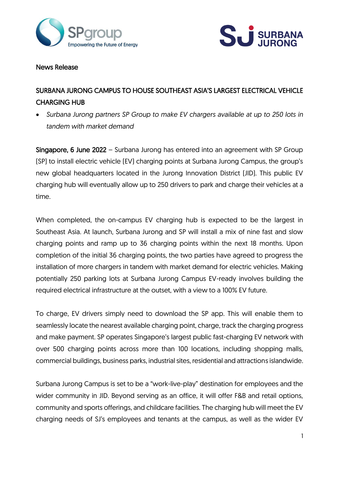



#### News Release

# SURBANA JURONG CAMPUS TO HOUSE SOUTHEAST ASIA'S LARGEST ELECTRICAL VEHICLE CHARGING HUB

• *Surbana Jurong partners SP Group to make EV chargers available at up to 250 lots in tandem with market demand*

Singapore, 6 June 2022 – Surbana Jurong has entered into an agreement with SP Group (SP) to install electric vehicle (EV) charging points at Surbana Jurong Campus, the group's new global headquarters located in the Jurong Innovation District (JID). This public EV charging hub will eventually allow up to 250 drivers to park and charge their vehicles at a time.

When completed, the on-campus EV charging hub is expected to be the largest in Southeast Asia. At launch, Surbana Jurong and SP will install a mix of nine fast and slow charging points and ramp up to 36 charging points within the next 18 months. Upon completion of the initial 36 charging points, the two parties have agreed to progress the installation of more chargers in tandem with market demand for electric vehicles. Making potentially 250 parking lots at Surbana Jurong Campus EV-ready involves building the required electrical infrastructure at the outset, with a view to a 100% EV future.

To charge, EV drivers simply need to download the SP app. This will enable them to seamlessly locate the nearest available charging point, charge, track the charging progress and make payment. SP operates Singapore's largest public fast-charging EV network with over 500 charging points across more than 100 locations, including shopping malls, commercial buildings, business parks, industrial sites, residential and attractions islandwide.

Surbana Jurong Campus is set to be a "work-live-play" destination for employees and the wider community in JID. Beyond serving as an office, it will offer F&B and retail options, community and sports offerings, and childcare facilities. The charging hub will meet the EV charging needs of SJ's employees and tenants at the campus, as well as the wider EV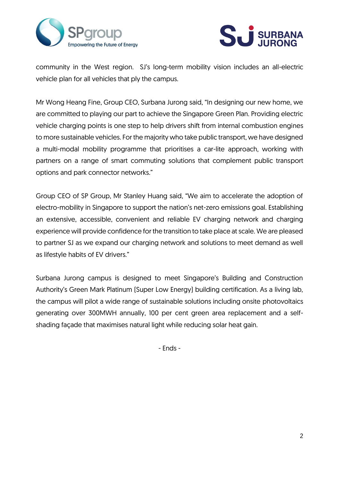



community in the West region. SJ's long-term mobility vision includes an all-electric vehicle plan for all vehicles that ply the campus.

Mr Wong Heang Fine, Group CEO, Surbana Jurong said, "In designing our new home, we are committed to playing our part to achieve the Singapore Green Plan. Providing electric vehicle charging points is one step to help drivers shift from internal combustion engines to more sustainable vehicles. For the majority who take public transport, we have designed a multi-modal mobility programme that prioritises a car-lite approach, working with partners on a range of smart commuting solutions that complement public transport options and park connector networks."

Group CEO of SP Group, Mr Stanley Huang said, "We aim to accelerate the adoption of electro-mobility in Singapore to support the nation's net-zero emissions goal. Establishing an extensive, accessible, convenient and reliable EV charging network and charging experience will provide confidence for the transition to take place at scale. We are pleased to partner SJ as we expand our charging network and solutions to meet demand as well as lifestyle habits of EV drivers."

Surbana Jurong campus is designed to meet Singapore's Building and Construction Authority's Green Mark Platinum (Super Low Energy) building certification. As a living lab, the campus will pilot a wide range of sustainable solutions including onsite photovoltaics generating over 300MWH annually, 100 per cent green area replacement and a selfshading façade that maximises natural light while reducing solar heat gain.

- Ends -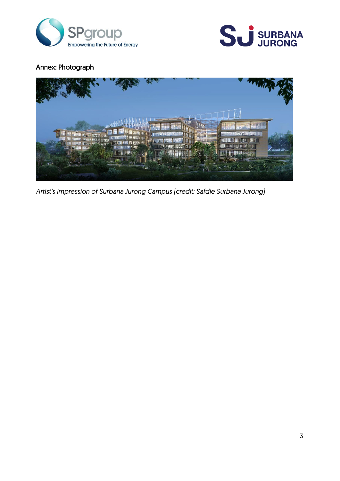



## Annex: Photograph



*Artist's impression of Surbana Jurong Campus (credit: Safdie Surbana Jurong)*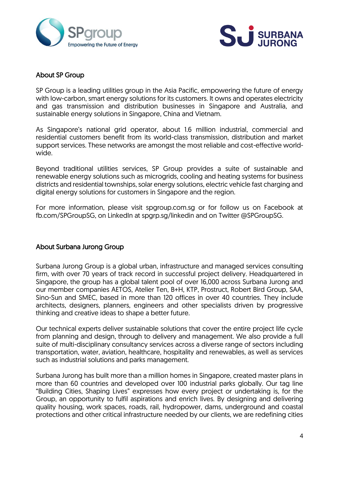



## About SP Group

SP Group is a leading utilities group in the Asia Pacific, empowering the future of energy with low-carbon, smart energy solutions for its customers. It owns and operates electricity and gas transmission and distribution businesses in Singapore and Australia, and sustainable energy solutions in Singapore, China and Vietnam.

As Singapore's national grid operator, about 1.6 million industrial, commercial and residential customers benefit from its world-class transmission, distribution and market support services. These networks are amongst the most reliable and cost-effective worldwide.

Beyond traditional utilities services, SP Group provides a suite of sustainable and renewable energy solutions such as microgrids, cooling and heating systems for business districts and residential townships, solar energy solutions, electric vehicle fast charging and digital energy solutions for customers in Singapore and the region.

For more information, please visit spgroup.com.sg or for follow us on Facebook at fb.com/SPGroupSG, on LinkedIn at spgrp.sg/linkedin and on Twitter @SPGroupSG.

### About Surbana Jurong Group

Surbana Jurong Group is a global urban, infrastructure and managed services consulting firm, with over 70 years of track record in successful project delivery. Headquartered in Singapore, the group has a global talent pool of over 16,000 across Surbana Jurong and our member companies AETOS, Atelier Ten, B+H, KTP, Prostruct, Robert Bird Group, SAA, Sino-Sun and SMEC, based in more than 120 offices in over 40 countries. They include architects, designers, planners, engineers and other specialists driven by progressive thinking and creative ideas to shape a better future.

Our technical experts deliver sustainable solutions that cover the entire project life cycle from planning and design, through to delivery and management. We also provide a full suite of multi-disciplinary consultancy services across a diverse range of sectors including transportation, water, aviation, healthcare, hospitality and renewables, as well as services such as industrial solutions and parks management.

Surbana Jurong has built more than a million homes in Singapore, created master plans in more than 60 countries and developed over 100 industrial parks globally. Our tag line "Building Cities, Shaping Lives" expresses how every project or undertaking is, for the Group, an opportunity to fulfil aspirations and enrich lives. By designing and delivering quality housing, work spaces, roads, rail, hydropower, dams, underground and coastal protections and other critical infrastructure needed by our clients, we are redefining cities